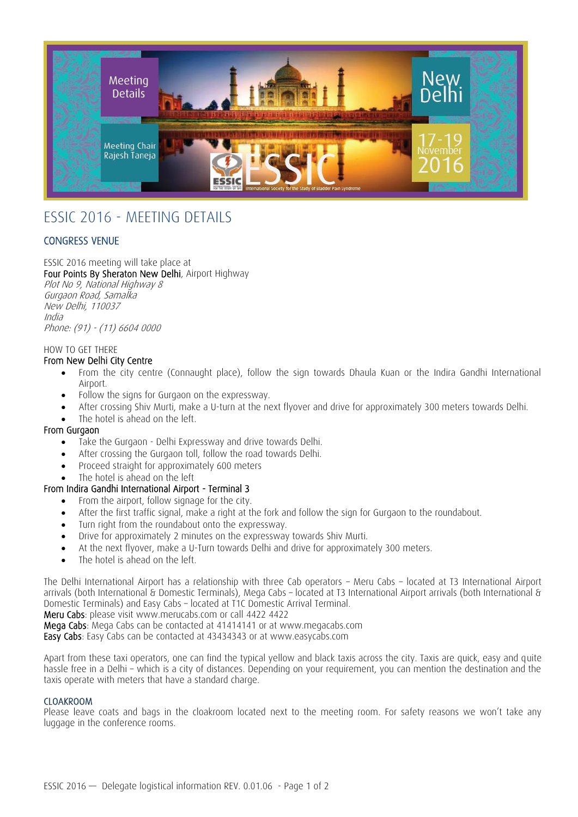

# ESSIC 2016 - MEETING DETAILS

## CONGRESS VENUE

ESSIC 2016 meeting will take place at Four Points By Sheraton New Delhi, Airport Highway

Plot No 9, National Highway 8 Gurgaon Road, Samalka New Delhi, 110037 India Phone: (91) - (11) 6604 0000

## HOW TO GET THERE

## From New Delhi City Centre

- From the city centre (Connaught place), follow the sign towards Dhaula Kuan or the Indira Gandhi International Airport.
- Follow the signs for Gurgaon on the expressway.
- After crossing Shiv Murti, make a U-turn at the next flyover and drive for approximately 300 meters towards Delhi.
- The hotel is ahead on the left.

## From Gurgaon

- Take the Gurgaon Delhi Expressway and drive towards Delhi.
- After crossing the Gurgaon toll, follow the road towards Delhi.
- Proceed straight for approximately 600 meters
- The hotel is ahead on the left

## From Indira Gandhi International Airport - Terminal 3

- From the airport, follow signage for the city.
- After the first traffic signal, make a right at the fork and follow the sign for Gurgaon to the roundabout.
- Turn right from the roundabout onto the expressway.
- Drive for approximately 2 minutes on the expressway towards Shiv Murti.
- At the next flyover, make a U-Turn towards Delhi and drive for approximately 300 meters.
- The hotel is ahead on the left.

The Delhi International Airport has a relationship with three Cab operators – Meru Cabs – located at T3 International Airport arrivals (both International & Domestic Terminals), Mega Cabs – located at T3 International Airport arrivals (both International & Domestic Terminals) and Easy Cabs – located at T1C Domestic Arrival Terminal.

Meru Cabs: please visit www.merucabs.com or call 4422 4422

Mega Cabs: Mega Cabs can be contacted at 41414141 or at www.megacabs.com

Easy Cabs: Easy Cabs can be contacted at 43434343 or at www.easycabs.com

Apart from these taxi operators, one can find the typical yellow and black taxis across the city. Taxis are quick, easy and quite hassle free in a Delhi – which is a city of distances. Depending on your requirement, you can mention the destination and the taxis operate with meters that have a standard charge.

## CLOAKROOM

Please leave coats and bags in the cloakroom located next to the meeting room. For safety reasons we won't take any luggage in the conference rooms.